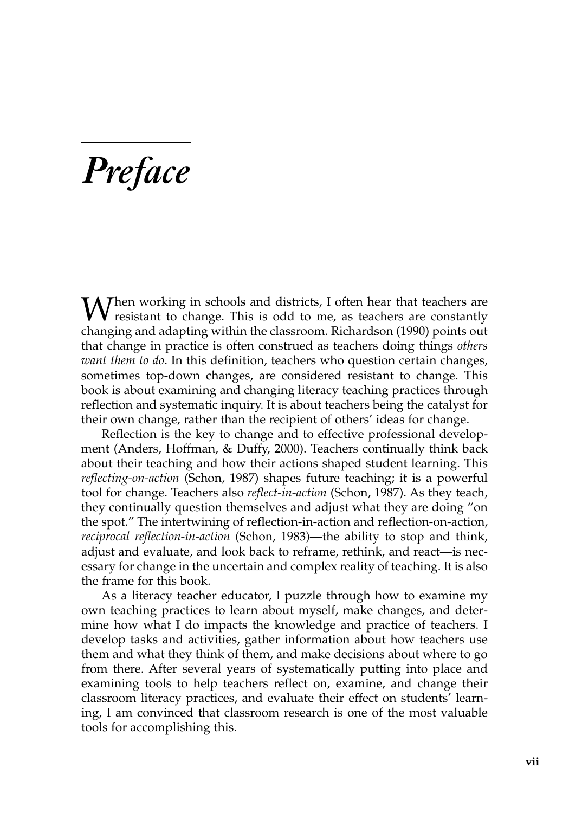## *Preface*

 $\bigvee$  hen working in schools and districts, I often hear that teachers are  $\sqrt{V}$  resistant to change. This is odd to me, as teachers are constantly changing and adapting within the classroom. Richardson (1990) points out that change in practice is often construed as teachers doing things *others want them to do*. In this definition, teachers who question certain changes, sometimes top-down changes, are considered resistant to change. This book is about examining and changing literacy teaching practices through reflection and systematic inquiry. It is about teachers being the catalyst for their own change, rather than the recipient of others' ideas for change.

Reflection is the key to change and to effective professional development (Anders, Hoffman, & Duffy, 2000). Teachers continually think back about their teaching and how their actions shaped student learning. This *reflecting-on-action* (Schon, 1987) shapes future teaching; it is a powerful tool for change. Teachers also *reflect-in-action* (Schon, 1987). As they teach, they continually question themselves and adjust what they are doing "on the spot." The intertwining of reflection-in-action and reflection-on-action, *reciprocal reflection-in-action* (Schon, 1983)—the ability to stop and think, adjust and evaluate, and look back to reframe, rethink, and react—is necessary for change in the uncertain and complex reality of teaching. It is also the frame for this book.

As a literacy teacher educator, I puzzle through how to examine my own teaching practices to learn about myself, make changes, and determine how what I do impacts the knowledge and practice of teachers. I develop tasks and activities, gather information about how teachers use them and what they think of them, and make decisions about where to go from there. After several years of systematically putting into place and examining tools to help teachers reflect on, examine, and change their classroom literacy practices, and evaluate their effect on students' learning, I am convinced that classroom research is one of the most valuable tools for accomplishing this.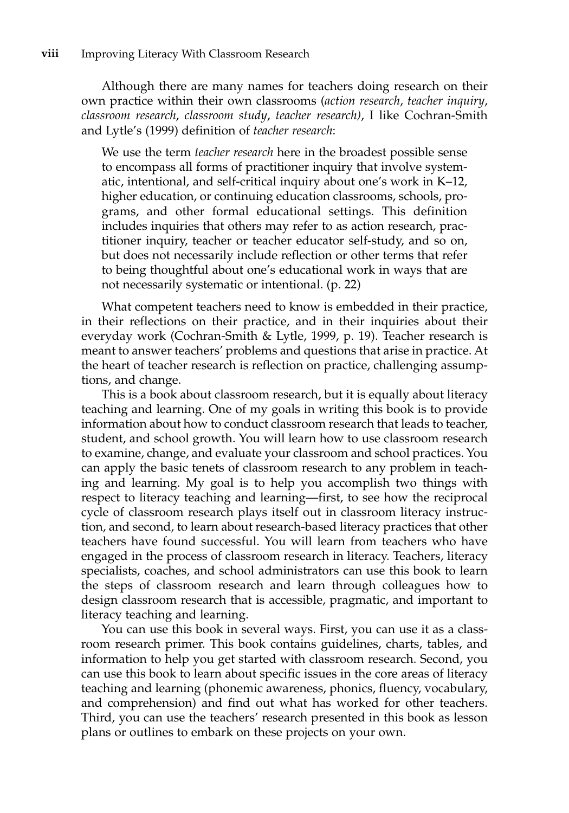Although there are many names for teachers doing research on their own practice within their own classrooms (*action research*, *teacher inquiry*, *classroom research*, *classroom study*, *teacher research)*, I like Cochran-Smith and Lytle's (1999) definition of *teacher research*:

We use the term *teacher research* here in the broadest possible sense to encompass all forms of practitioner inquiry that involve systematic, intentional, and self-critical inquiry about one's work in K–12, higher education, or continuing education classrooms, schools, programs, and other formal educational settings. This definition includes inquiries that others may refer to as action research, practitioner inquiry, teacher or teacher educator self-study, and so on, but does not necessarily include reflection or other terms that refer to being thoughtful about one's educational work in ways that are not necessarily systematic or intentional. (p. 22)

What competent teachers need to know is embedded in their practice, in their reflections on their practice, and in their inquiries about their everyday work (Cochran-Smith & Lytle, 1999, p. 19). Teacher research is meant to answer teachers' problems and questions that arise in practice. At the heart of teacher research is reflection on practice, challenging assumptions, and change.

This is a book about classroom research, but it is equally about literacy teaching and learning. One of my goals in writing this book is to provide information about how to conduct classroom research that leads to teacher, student, and school growth. You will learn how to use classroom research to examine, change, and evaluate your classroom and school practices. You can apply the basic tenets of classroom research to any problem in teaching and learning. My goal is to help you accomplish two things with respect to literacy teaching and learning—first, to see how the reciprocal cycle of classroom research plays itself out in classroom literacy instruction, and second, to learn about research-based literacy practices that other teachers have found successful. You will learn from teachers who have engaged in the process of classroom research in literacy. Teachers, literacy specialists, coaches, and school administrators can use this book to learn the steps of classroom research and learn through colleagues how to design classroom research that is accessible, pragmatic, and important to literacy teaching and learning.

You can use this book in several ways. First, you can use it as a classroom research primer. This book contains guidelines, charts, tables, and information to help you get started with classroom research. Second, you can use this book to learn about specific issues in the core areas of literacy teaching and learning (phonemic awareness, phonics, fluency, vocabulary, and comprehension) and find out what has worked for other teachers. Third, you can use the teachers' research presented in this book as lesson plans or outlines to embark on these projects on your own.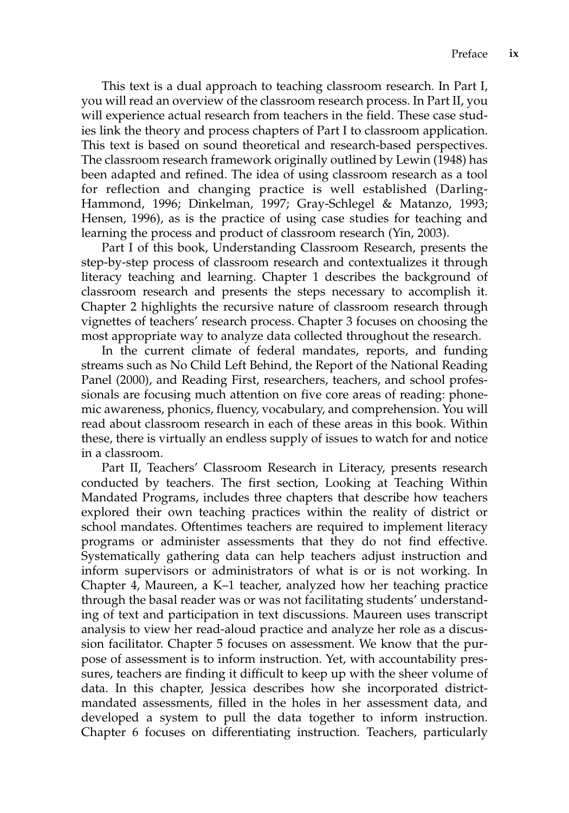This text is a dual approach to teaching classroom research. In Part I, you will read an overview of the classroom research process. In Part II, you will experience actual research from teachers in the field. These case studies link the theory and process chapters of Part I to classroom application. This text is based on sound theoretical and research-based perspectives. The classroom research framework originally outlined by Lewin (1948) has been adapted and refined. The idea of using classroom research as a tool for reflection and changing practice is well established (Darling-Hammond, 1996; Dinkelman, 1997; Gray-Schlegel & Matanzo, 1993; Hensen, 1996), as is the practice of using case studies for teaching and learning the process and product of classroom research (Yin, 2003).

Part I of this book, Understanding Classroom Research, presents the step-by-step process of classroom research and contextualizes it through literacy teaching and learning. Chapter 1 describes the background of classroom research and presents the steps necessary to accomplish it. Chapter 2 highlights the recursive nature of classroom research through vignettes of teachers' research process. Chapter 3 focuses on choosing the most appropriate way to analyze data collected throughout the research.

In the current climate of federal mandates, reports, and funding streams such as No Child Left Behind, the Report of the National Reading Panel (2000), and Reading First, researchers, teachers, and school professionals are focusing much attention on five core areas of reading: phonemic awareness, phonics, fluency, vocabulary, and comprehension. You will read about classroom research in each of these areas in this book. Within these, there is virtually an endless supply of issues to watch for and notice in a classroom.

Part II, Teachers' Classroom Research in Literacy, presents research conducted by teachers. The first section, Looking at Teaching Within Mandated Programs, includes three chapters that describe how teachers explored their own teaching practices within the reality of district or school mandates. Oftentimes teachers are required to implement literacy programs or administer assessments that they do not find effective. Systematically gathering data can help teachers adjust instruction and inform supervisors or administrators of what is or is not working. In Chapter 4, Maureen, a K–1 teacher, analyzed how her teaching practice through the basal reader was or was not facilitating students' understanding of text and participation in text discussions. Maureen uses transcript analysis to view her read-aloud practice and analyze her role as a discussion facilitator. Chapter 5 focuses on assessment. We know that the purpose of assessment is to inform instruction. Yet, with accountability pressures, teachers are finding it difficult to keep up with the sheer volume of data. In this chapter, Jessica describes how she incorporated districtmandated assessments, filled in the holes in her assessment data, and developed a system to pull the data together to inform instruction. Chapter 6 focuses on differentiating instruction. Teachers, particularly